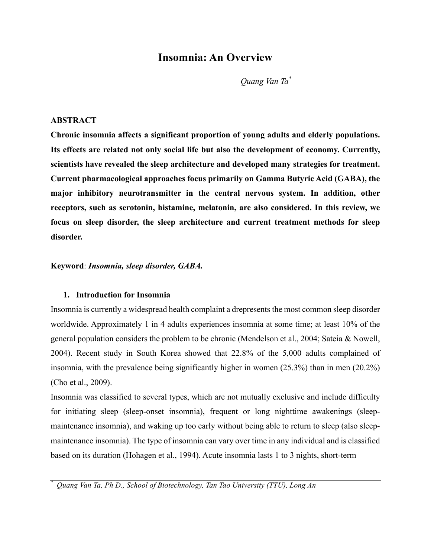# **Insomnia: An Overview**

*Quang Van Ta\**

#### **ABSTRACT**

**Chronic insomnia affects a significant proportion of young adults and elderly populations. Its effects are related not only social life but also the development of economy. Currently, scientists have revealed the sleep architecture and developed many strategies for treatment. Current pharmacological approaches focus primarily on Gamma Butyric Acid (GABA), the major inhibitory neurotransmitter in the central nervous system. In addition, other receptors, such as serotonin, histamine, melatonin, are also considered. In this review, we focus on sleep disorder, the sleep architecture and current treatment methods for sleep disorder.**

**Keyword**: *Insomnia, sleep disorder, GABA.*

#### **1. Introduction for Insomnia**

Insomnia is currently a widespread health complaint a drepresents the most common sleep disorder worldwide. Approximately 1 in 4 adults experiences insomnia at some time; at least 10% of the general population considers the problem to be chronic (Mendelson et al., 2004; Sateia & Nowell, 2004). Recent study in South Korea showed that 22.8% of the 5,000 adults complained of insomnia, with the prevalence being significantly higher in women (25.3%) than in men (20.2%) (Cho et al., 2009).

Insomnia was classified to several types, which are not mutually exclusive and include difficulty for initiating sleep (sleep-onset insomnia), frequent or long nighttime awakenings (sleepmaintenance insomnia), and waking up too early without being able to return to sleep (also sleepmaintenance insomnia). The type of insomnia can vary over time in any individual and is classified based on its duration (Hohagen et al., 1994). Acute insomnia lasts 1 to 3 nights, short-term

*\* Quang Van Ta, Ph D., School of Biotechnology, Tan Tao University (TTU), Long An*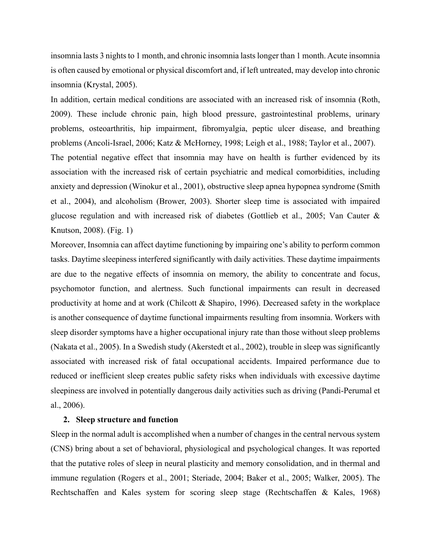insomnia lasts 3 nights to 1 month, and chronic insomnia lasts longer than 1 month. Acute insomnia is often caused by emotional or physical discomfort and, if left untreated, may develop into chronic insomnia (Krystal, 2005).

In addition, certain medical conditions are associated with an increased risk of insomnia (Roth, 2009). These include chronic pain, high blood pressure, gastrointestinal problems, urinary problems, osteoarthritis, hip impairment, fibromyalgia, peptic ulcer disease, and breathing problems (Ancoli-Israel, 2006; Katz & McHorney, 1998; Leigh et al., 1988; Taylor et al., 2007). The potential negative effect that insomnia may have on health is further evidenced by its association with the increased risk of certain psychiatric and medical comorbidities, including anxiety and depression (Winokur et al., 2001), obstructive sleep apnea hypopnea syndrome (Smith et al., 2004), and alcoholism (Brower, 2003). Shorter sleep time is associated with impaired glucose regulation and with increased risk of diabetes (Gottlieb et al., 2005; Van Cauter & Knutson, 2008). (Fig. 1)

Moreover, Insomnia can affect daytime functioning by impairing one's ability to perform common tasks. Daytime sleepiness interfered significantly with daily activities. These daytime impairments are due to the negative effects of insomnia on memory, the ability to concentrate and focus, psychomotor function, and alertness. Such functional impairments can result in decreased productivity at home and at work (Chilcott & Shapiro, 1996). Decreased safety in the workplace is another consequence of daytime functional impairments resulting from insomnia. Workers with sleep disorder symptoms have a higher occupational injury rate than those without sleep problems (Nakata et al., 2005). In a Swedish study (Akerstedt et al., 2002), trouble in sleep was significantly associated with increased risk of fatal occupational accidents. Impaired performance due to reduced or inefficient sleep creates public safety risks when individuals with excessive daytime sleepiness are involved in potentially dangerous daily activities such as driving (Pandi-Perumal et al., 2006).

#### **2. Sleep structure and function**

Sleep in the normal adult is accomplished when a number of changes in the central nervous system (CNS) bring about a set of behavioral, physiological and psychological changes. It was reported that the putative roles of sleep in neural plasticity and memory consolidation, and in thermal and immune regulation (Rogers et al., 2001; Steriade, 2004; Baker et al., 2005; Walker, 2005). The Rechtschaffen and Kales system for scoring sleep stage (Rechtschaffen & Kales, 1968)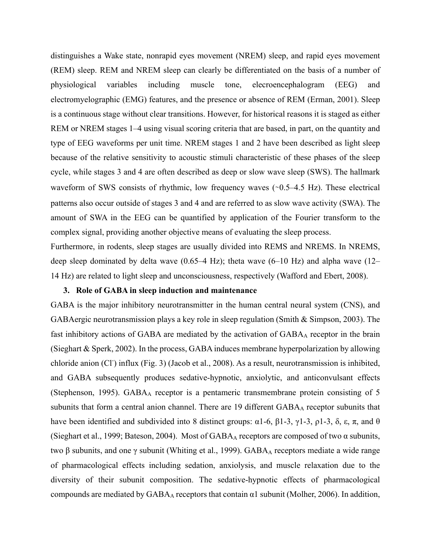distinguishes a Wake state, nonrapid eyes movement (NREM) sleep, and rapid eyes movement (REM) sleep. REM and NREM sleep can clearly be differentiated on the basis of a number of physiological variables including muscle tone, elecroencephalogram (EEG) and electromyelographic (EMG) features, and the presence or absence of REM (Erman, 2001). Sleep is a continuous stage without clear transitions. However, for historical reasons it is staged as either REM or NREM stages 1–4 using visual scoring criteria that are based, in part, on the quantity and type of EEG waveforms per unit time. NREM stages 1 and 2 have been described as light sleep because of the relative sensitivity to acoustic stimuli characteristic of these phases of the sleep cycle, while stages 3 and 4 are often described as deep or slow wave sleep (SWS). The hallmark waveform of SWS consists of rhythmic, low frequency waves (∼0.5–4.5 Hz). These electrical patterns also occur outside of stages 3 and 4 and are referred to as slow wave activity (SWA). The amount of SWA in the EEG can be quantified by application of the Fourier transform to the complex signal, providing another objective means of evaluating the sleep process.

Furthermore, in rodents, sleep stages are usually divided into REMS and NREMS. In NREMS, deep sleep dominated by delta wave (0.65–4 Hz); theta wave (6–10 Hz) and alpha wave (12– 14 Hz) are related to light sleep and unconsciousness, respectively (Wafford and Ebert, 2008).

#### **3. Role of GABA in sleep induction and maintenance**

GABA is the major inhibitory neurotransmitter in the human central neural system (CNS), and GABAergic neurotransmission plays a key role in sleep regulation (Smith & Simpson, 2003). The fast inhibitory actions of GABA are mediated by the activation of  $GABA<sub>A</sub>$  receptor in the brain (Sieghart & Sperk, 2002). In the process, GABA induces membrane hyperpolarization by allowing chloride anion (Cl<sup>-</sup>) influx (Fig. 3) (Jacob et al., 2008). As a result, neurotransmission is inhibited, and GABA subsequently produces sedative-hypnotic, anxiolytic, and anticonvulsant effects (Stephenson, 1995). GABA<sub>A</sub> receptor is a pentameric transmembrane protein consisting of 5 subunits that form a central anion channel. There are 19 different GABAA receptor subunits that have been identified and subdivided into 8 distinct groups: α1-6, β1-3, γ1-3, ρ1-3, δ, ε, π, and θ (Sieghart et al., 1999; Bateson, 2004). Most of  $GABA_A$  receptors are composed of two  $\alpha$  subunits, two β subunits, and one γ subunit (Whiting et al., 1999). GABA<sub>A</sub> receptors mediate a wide range of pharmacological effects including sedation, anxiolysis, and muscle relaxation due to the diversity of their subunit composition. The sedative-hypnotic effects of pharmacological compounds are mediated by  $GABA_A$  receptors that contain  $\alpha$ 1 subunit (Molher, 2006). In addition,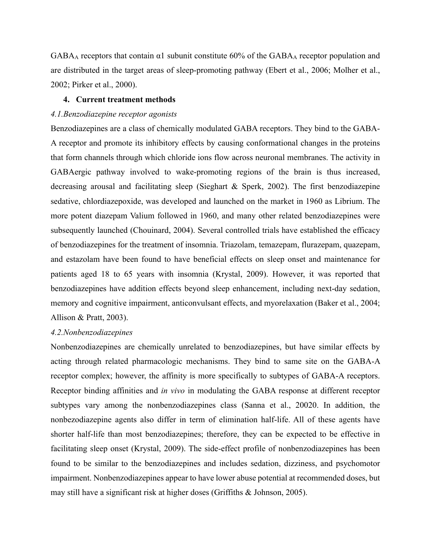$GABA_A$  receptors that contain  $\alpha$ 1 subunit constitute 60% of the  $GABA_A$  receptor population and are distributed in the target areas of sleep-promoting pathway (Ebert et al., 2006; Molher et al., 2002; Pirker et al., 2000).

#### **4. Current treatment methods**

#### *4.1.Benzodiazepine receptor agonists*

Benzodiazepines are a class of chemically modulated GABA receptors. They bind to the GABA-A receptor and promote its inhibitory effects by causing conformational changes in the proteins that form channels through which chloride ions flow across neuronal membranes. The activity in GABAergic pathway involved to wake-promoting regions of the brain is thus increased, decreasing arousal and facilitating sleep (Sieghart & Sperk, 2002). The first benzodiazepine sedative, chlordiazepoxide, was developed and launched on the market in 1960 as Librium. The more potent diazepam Valium followed in 1960, and many other related benzodiazepines were subsequently launched (Chouinard, 2004). Several controlled trials have established the efficacy of benzodiazepines for the treatment of insomnia. Triazolam, temazepam, flurazepam, quazepam, and estazolam have been found to have beneficial effects on sleep onset and maintenance for patients aged 18 to 65 years with insomnia (Krystal, 2009). However, it was reported that benzodiazepines have addition effects beyond sleep enhancement, including next-day sedation, memory and cognitive impairment, anticonvulsant effects, and myorelaxation (Baker et al., 2004; Allison & Pratt, 2003).

## *4.2.Nonbenzodiazepines*

Nonbenzodiazepines are chemically unrelated to benzodiazepines, but have similar effects by acting through related pharmacologic mechanisms. They bind to same site on the GABA-A receptor complex; however, the affinity is more specifically to subtypes of GABA-A receptors. Receptor binding affinities and *in vivo* in modulating the GABA response at different receptor subtypes vary among the nonbenzodiazepines class (Sanna et al., 20020. In addition, the nonbezodiazepine agents also differ in term of elimination half-life. All of these agents have shorter half-life than most benzodiazepines; therefore, they can be expected to be effective in facilitating sleep onset (Krystal, 2009). The side-effect profile of nonbenzodiazepines has been found to be similar to the benzodiazepines and includes sedation, dizziness, and psychomotor impairment. Nonbenzodiazepines appear to have lower abuse potential at recommended doses, but may still have a significant risk at higher doses (Griffiths & Johnson, 2005).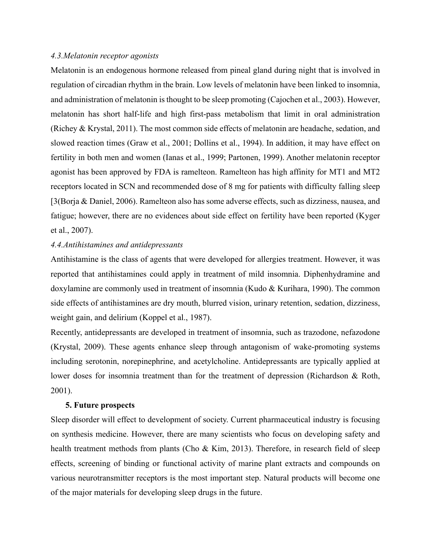#### *4.3.Melatonin receptor agonists*

Melatonin is an endogenous hormone released from pineal gland during night that is involved in regulation of circadian rhythm in the brain. Low levels of melatonin have been linked to insomnia, and administration of melatonin is thought to be sleep promoting (Cajochen et al., 2003). However, melatonin has short half-life and high first-pass metabolism that limit in oral administration (Richey & Krystal, 2011). The most common side effects of melatonin are headache, sedation, and slowed reaction times (Graw et al., 2001; Dollins et al., 1994). In addition, it may have effect on fertility in both men and women (Ianas et al., 1999; Partonen, 1999). Another melatonin receptor agonist has been approved by FDA is ramelteon. Ramelteon has high affinity for MT1 and MT2 receptors located in SCN and recommended dose of 8 mg for patients with difficulty falling sleep [3(Borja & Daniel, 2006). Ramelteon also has some adverse effects, such as dizziness, nausea, and fatigue; however, there are no evidences about side effect on fertility have been reported (Kyger et al., 2007).

# *4.4.Antihistamines and antidepressants*

Antihistamine is the class of agents that were developed for allergies treatment. However, it was reported that antihistamines could apply in treatment of mild insomnia. Diphenhydramine and doxylamine are commonly used in treatment of insomnia (Kudo & Kurihara, 1990). The common side effects of antihistamines are dry mouth, blurred vision, urinary retention, sedation, dizziness, weight gain, and delirium (Koppel et al., 1987).

Recently, antidepressants are developed in treatment of insomnia, such as trazodone, nefazodone (Krystal, 2009). These agents enhance sleep through antagonism of wake-promoting systems including serotonin, norepinephrine, and acetylcholine. Antidepressants are typically applied at lower doses for insomnia treatment than for the treatment of depression (Richardson & Roth, 2001).

## **5. Future prospects**

Sleep disorder will effect to development of society. Current pharmaceutical industry is focusing on synthesis medicine. However, there are many scientists who focus on developing safety and health treatment methods from plants (Cho & Kim, 2013). Therefore, in research field of sleep effects, screening of binding or functional activity of marine plant extracts and compounds on various neurotransmitter receptors is the most important step. Natural products will become one of the major materials for developing sleep drugs in the future.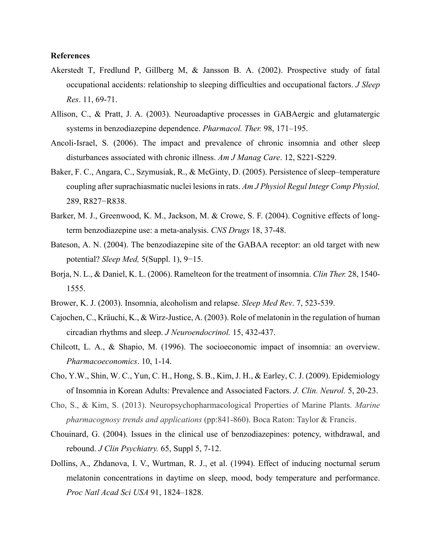#### **References**

- Akerstedt T, Fredlund P, Gillberg M, & Jansson B. A. (2002). Prospective study of fatal occupational accidents: relationship to sleeping difficulties and occupational factors. *J Sleep Res*. 11, 69-71.
- Allison, C., & Pratt, J. A. (2003). Neuroadaptive processes in GABAergic and glutamatergic systems in benzodiazepine dependence. *Pharmacol. Ther.* 98, 171–195.
- Ancoli-Israel, S. (2006). The impact and prevalence of chronic insomnia and other sleep disturbances associated with chronic illness. *Am J Manag Care*. 12, S221-S229.
- Baker, F. C., Angara, C., Szymusiak, R., & McGinty, D. (2005). Persistence of sleep–temperature coupling after suprachiasmatic nuclei lesions in rats. *Am J Physiol Regul Integr Comp Physiol,* 289, R827−R838.
- Barker, M. J., Greenwood, K. M., Jackson, M. & Crowe, S. F. (2004). Cognitive effects of longterm benzodiazepine use: a meta-analysis. *CNS Drugs* 18, 37-48.
- Bateson, A. N. (2004). The benzodiazepine site of the GABAA receptor: an old target with new potential? *Sleep Med,* 5(Suppl. 1), 9−15.
- Borja, N. L., & Daniel, K. L. (2006). Ramelteon for the treatment of insomnia. *Clin Ther.* 28, 1540- 1555.
- Brower, K. J. (2003). Insomnia, alcoholism and relapse. *Sleep Med Rev*. 7, 523-539.
- Cajochen, C., Kräuchi, K., & Wirz-Justice, A. (2003). Role of melatonin in the regulation of human circadian rhythms and sleep. *J Neuroendocrinol.* 15, 432-437.
- Chilcott, L. A., & Shapio, M. (1996). The socioeconomic impact of insomnia: an overview. *Pharmacoeconomics*. 10, 1-14.
- Cho, Y.W., Shin, W. C., Yun, C. H., Hong, S. B., Kim, J. H., & Earley, C. J. (2009). Epidemiology of Insomnia in Korean Adults: Prevalence and Associated Factors. *J. Clin. Neurol.* 5, 20-23.
- Cho, S., & Kim, S. (2013). Neuropsychopharmacological Properties of Marine Plants. *Marine pharmacognosy trends and applications* (pp:841-860). Boca Raton: Taylor & Francis.
- Chouinard, G. (2004). Issues in the clinical use of benzodiazepines: potency, withdrawal, and rebound. *J Clin Psychiatry.* 65, Suppl 5, 7-12.
- Dollins, A., Zhdanova, I. V., Wurtman, R. J., et al. (1994). Effect of inducing nocturnal serum melatonin concentrations in daytime on sleep, mood, body temperature and performance. *Proc Natl Acad Sci USA* 91, 1824–1828.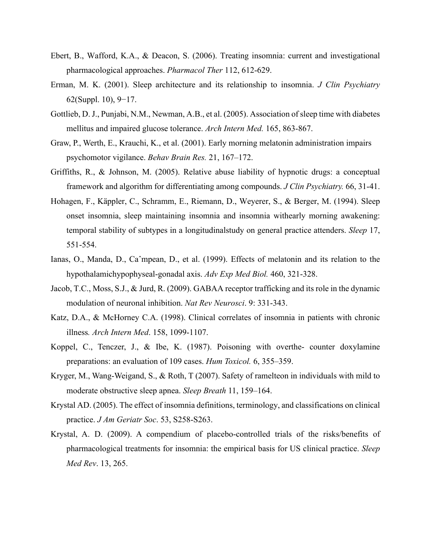- Ebert, B., Wafford, K.A., & Deacon, S. (2006). Treating insomnia: current and investigational pharmacological approaches. *Pharmacol Ther* 112, 612-629.
- Erman, M. K. (2001). Sleep architecture and its relationship to insomnia. *J Clin Psychiatry* 62(Suppl. 10), 9−17.
- Gottlieb, D. J., Punjabi, N.M., Newman, A.B., et al. (2005). Association of sleep time with diabetes mellitus and impaired glucose tolerance. *Arch Intern Med.* 165, 863-867.
- Graw, P., Werth, E., Krauchi, K., et al. (2001). Early morning melatonin administration impairs psychomotor vigilance. *Behav Brain Res.* 21, 167–172.
- Griffiths, R., & Johnson, M. (2005). Relative abuse liability of hypnotic drugs: a conceptual framework and algorithm for differentiating among compounds. *J Clin Psychiatry.* 66, 31-41.
- Hohagen, F., Käppler, C., Schramm, E., Riemann, D., Weyerer, S., & Berger, M. (1994). Sleep onset insomnia, sleep maintaining insomnia and insomnia withearly morning awakening: temporal stability of subtypes in a longitudinalstudy on general practice attenders. *Sleep* 17, 551-554.
- Ianas, O., Manda, D., Caˆmpean, D., et al. (1999). Effects of melatonin and its relation to the hypothalamichypophyseal-gonadal axis. *Adv Exp Med Biol.* 460, 321-328.
- Jacob, T.C., Moss, S.J., & Jurd, R. (2009). GABAA receptor trafficking and its role in the dynamic modulation of neuronal inhibition. *Nat Rev Neurosci*. 9: 331-343.
- Katz, D.A., & McHorney C.A. (1998). Clinical correlates of insomnia in patients with chronic illness*. Arch Intern Med*. 158, 1099-1107.
- Koppel, C., Tenczer, J., & Ibe, K. (1987). Poisoning with overthe- counter doxylamine preparations: an evaluation of 109 cases. *Hum Toxicol.* 6, 355–359.
- Kryger, M., Wang-Weigand, S., & Roth, T (2007). Safety of ramelteon in individuals with mild to moderate obstructive sleep apnea. *Sleep Breath* 11, 159–164.
- Krystal AD. (2005). The effect of insomnia definitions, terminology, and classifications on clinical practice. *J Am Geriatr Soc*. 53, S258-S263.
- Krystal, A. D. (2009). A compendium of placebo-controlled trials of the risks/benefits of pharmacological treatments for insomnia: the empirical basis for US clinical practice. *Sleep Med Rev*. 13, 265.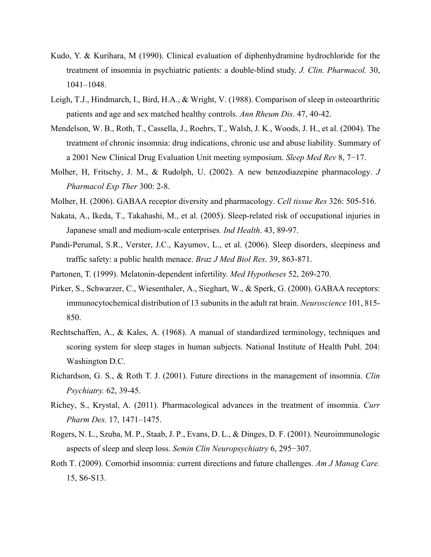- Kudo, Y. & Kurihara, M (1990). Clinical evaluation of diphenhydramine hydrochloride for the treatment of insomnia in psychiatric patients: a double-blind study. *J. Clin. Pharmacol.* 30, 1041–1048.
- Leigh, T.J., Hindmarch, I., Bird, H.A., & Wright, V. (1988). Comparison of sleep in osteoarthritic patients and age and sex matched healthy controls. *Ann Rheum Dis*. 47, 40-42.
- Mendelson, W. B., Roth, T., Cassella, J., Roehrs, T., Walsh, J. K., Woods, J. H., et al. (2004). The treatment of chronic insomnia: drug indications, chronic use and abuse liability. Summary of a 2001 New Clinical Drug Evaluation Unit meeting symposium. *Sleep Med Rev* 8, 7−17.
- Molher, H, Fritschy, J. M., & Rudolph, U. (2002). A new benzodiazepine pharmacology. *J Pharmacol Exp Ther* 300: 2-8.
- Molher, H. (2006). GABAA receptor diversity and pharmacology. *Cell tissue Res* 326: 505-516.
- Nakata, A., Ikeda, T., Takahashi, M., et al. (2005). Sleep-related risk of occupational injuries in Japanese small and medium-scale enterprises*. Ind Health*. 43, 89-97.
- Pandi-Perumal, S.R., Verster, J.C., Kayumov, L., et al. (2006). Sleep disorders, sleepiness and traffic safety: a public health menace. *Braz J Med Biol Res*. 39, 863-871.
- Partonen, T. (1999). Melatonin-dependent infertility. *Med Hypotheses* 52, 269-270.
- Pirker, S., Schwarzer, C., Wiesenthaler, A., Sieghart, W., & Sperk, G. (2000). GABAA receptors: immunocytochemical distribution of 13 subunits in the adult rat brain. *Neuroscience* 101, 815- 850.
- Rechtschaffen, A., & Kales, A. (1968). A manual of standardized terminology, techniques and scoring system for sleep stages in human subjects. National Institute of Health Publ. 204: Washington D.C.
- Richardson, G. S., & Roth T. J. (2001). Future directions in the management of insomnia. *Clin Psychiatry.* 62, 39-45.
- Richey, S., Krystal, A. (2011). Pharmacological advances in the treatment of insomnia. *Curr Pharm Des.* 17, 1471–1475.
- Rogers, N. L., Szuba, M. P., Staab, J. P., Evans, D. L., & Dinges, D. F. (2001). Neuroimmunologic aspects of sleep and sleep loss. *Semin Clin Neuropsychiatry* 6, 295−307.
- Roth T. (2009). Comorbid insomnia: current directions and future challenges. *Am J Manag Care.*  15, S6-S13.